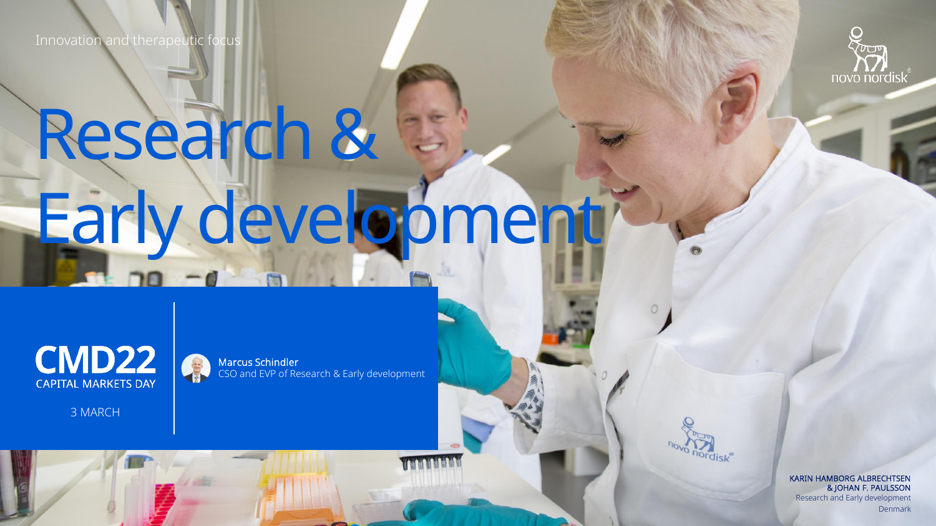Innovation and therapeutic focus



## Research & Early development



3 MARCH

Marcus Schindler CSO and EVP of Research & Early development

> KARIN HAMBORG ALBRECHTSEN & JOHAN F. PAULSSON Research and Early development Denmark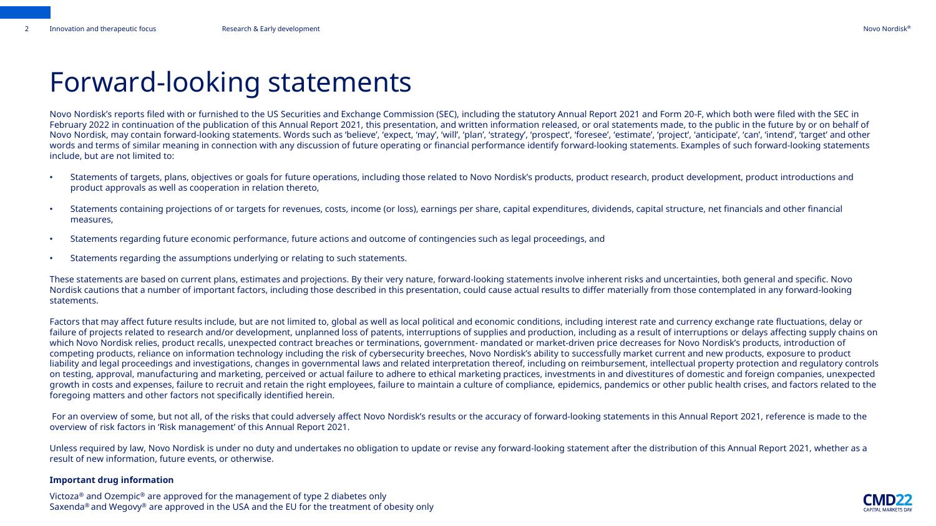### Forward-looking statements

Novo Nordisk's reports filed with or furnished to the US Securities and Exchange Commission (SEC), including the statutory Annual Report 2021 and Form 20-F, which both were filed with the SEC in February 2022 in continuation of the publication of this Annual Report 2021, this presentation, and written information released, or oral statements made, to the public in the future by or on behalf of Novo Nordisk, may contain forward-looking statements. Words such as 'believe', 'expect, 'may', 'will', 'plan', 'strategy', 'prospect', 'foresee', 'estimate', 'project', 'anticipate', 'can', 'intend', 'target' and other words and terms of similar meaning in connection with any discussion of future operating or financial performance identify forward-looking statements. Examples of such forward-looking statements include, but are not limited to:

- Statements of targets, plans, objectives or goals for future operations, including those related to Novo Nordisk's products, product research, product development, product introductions and product approvals as well as cooperation in relation thereto,
- Statements containing projections of or targets for revenues, costs, income (or loss), earnings per share, capital expenditures, dividends, capital structure, net financials and other financial measures,
- Statements regarding future economic performance, future actions and outcome of contingencies such as legal proceedings, and
- Statements regarding the assumptions underlying or relating to such statements.

These statements are based on current plans, estimates and projections. By their very nature, forward-looking statements involve inherent risks and uncertainties, both general and specific. Novo Nordisk cautions that a number of important factors, including those described in this presentation, could cause actual results to differ materially from those contemplated in any forward-looking statements.

Factors that may affect future results include, but are not limited to, global as well as local political and economic conditions, including interest rate and currency exchange rate fluctuations, delay or failure of projects related to research and/or development, unplanned loss of patents, interruptions of supplies and production, including as a result of interruptions or delays affecting supply chains on which Novo Nordisk relies, product recalls, unexpected contract breaches or terminations, government- mandated or market-driven price decreases for Novo Nordisk's products, introduction of competing products, reliance on information technology including the risk of cybersecurity breeches, Novo Nordisk's ability to successfully market current and new products, exposure to product liability and legal proceedings and investigations, changes in governmental laws and related interpretation thereof, including on reimbursement, intellectual property protection and regulatory controls on testing, approval, manufacturing and marketing, perceived or actual failure to adhere to ethical marketing practices, investments in and divestitures of domestic and foreign companies, unexpected growth in costs and expenses, failure to recruit and retain the right employees, failure to maintain a culture of compliance, epidemics, pandemics or other public health crises, and factors related to the foregoing matters and other factors not specifically identified herein.

For an overview of some, but not all, of the risks that could adversely affect Novo Nordisk's results or the accuracy of forward-looking statements in this Annual Report 2021, reference is made to the overview of risk factors in 'Risk management' of this Annual Report 2021.

Unless required by law, Novo Nordisk is under no duty and undertakes no obligation to update or revise any forward-looking statement after the distribution of this Annual Report 2021, whether as a result of new information, future events, or otherwise.

#### **Important drug information**

Victoza® and Ozempic® are approved for the management of type 2 diabetes only Saxenda<sup>®</sup> and Wegovy<sup>®</sup> are approved in the USA and the EU for the treatment of obesity only

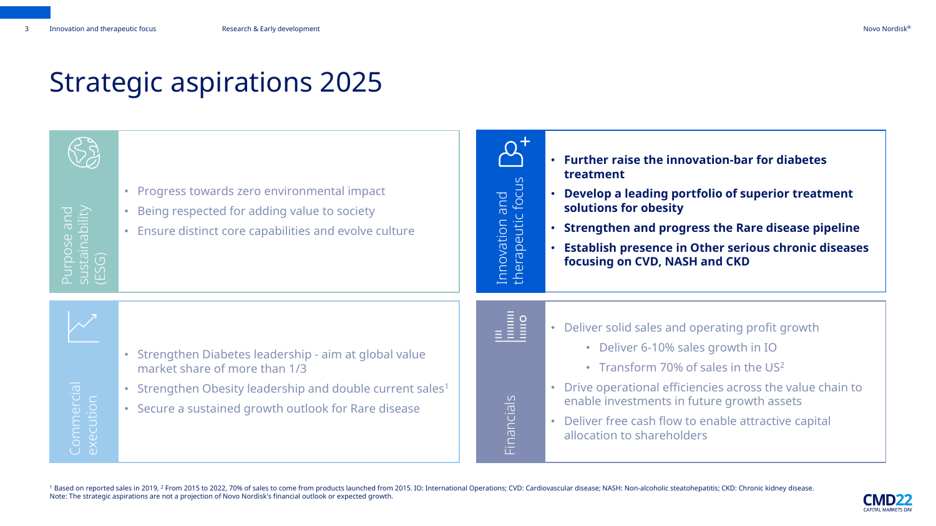### Strategic aspirations 2025

# Purpose and sustainability (ESG)

- Progress towards zero environmental impact
- Being respected for adding value to society
- Ensure distinct core capabilities and evolve culture

Innovation and  $\overline{u}$ therapeutic focus

- **Further raise the innovation-bar for diabetes treatment**
- **Develop a leading portfolio of superior treatment solutions for obesity**
- **Strengthen and progress the Rare disease pipeline**
- **Establish presence in Other serious chronic diseases focusing on CVD, NASH and CKD**

- Strengthen Diabetes leadership aim at global value market share of more than 1/3
- Strengthen Obesity leadership and double current sales<sup>1</sup>
- Secure a sustained growth outlook for Rare disease

Financials

- Deliver solid sales and operating profit growth
	- Deliver 6-10% sales growth in IO
	- Transform 70% of sales in the US<sup>2</sup>
- Drive operational efficiencies across the value chain to enable investments in future growth assets
- Deliver free cash flow to enable attractive capital allocation to shareholders

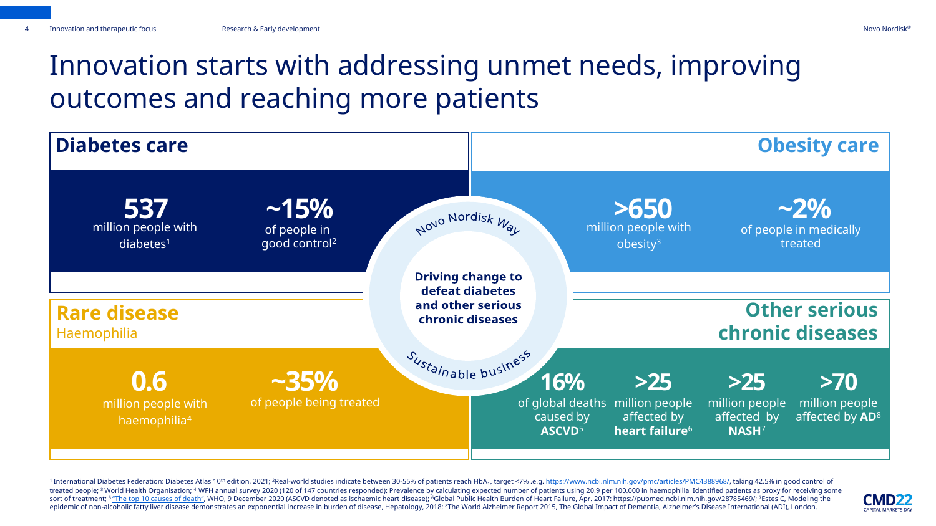### Innovation starts with addressing unmet needs, improving outcomes and reaching more patients



1 International Diabetes Federation: Diabetes Atlas 10<sup>th</sup> edition, 2021; <sup>2</sup>Real-world studies indicate between 30-55% of patients reach HbA<sub>1c</sub> target <7% .e.g. <https://www.ncbi.nlm.nih.gov/pmc/articles/PMC4388968/>, taki treated people; <sup>3</sup> World Health Organisation; <sup>4</sup> WFH annual survey 2020 (120 of 147 countries responded): Prevalence by calculating expected number of patients using 20.9 per 100.000 in haemophilia Identified patients as sort of treatment; <sup>5</sup> ["The top 10 causes of death"](https://www.who.int/news-room/fact-sheets/detail/the-top-10-causes-of-death), WHO, 9 December 2020 (ASCVD denoted as ischaemic heart disease); <sup>6</sup>Global Public Health Burden of Heart Failure, Apr. 2017: https://pubmed.ncbi.nlm.nih.gov/28785469/; <sup></sup> epidemic of non-alcoholic fatty liver disease demonstrates an exponential increase in burden of disease, Hepatology, 2018; <sup>8</sup>The World Alzheimer Report 2015, The Global Impact of Dementia, Alzheimer's Disease Internationa

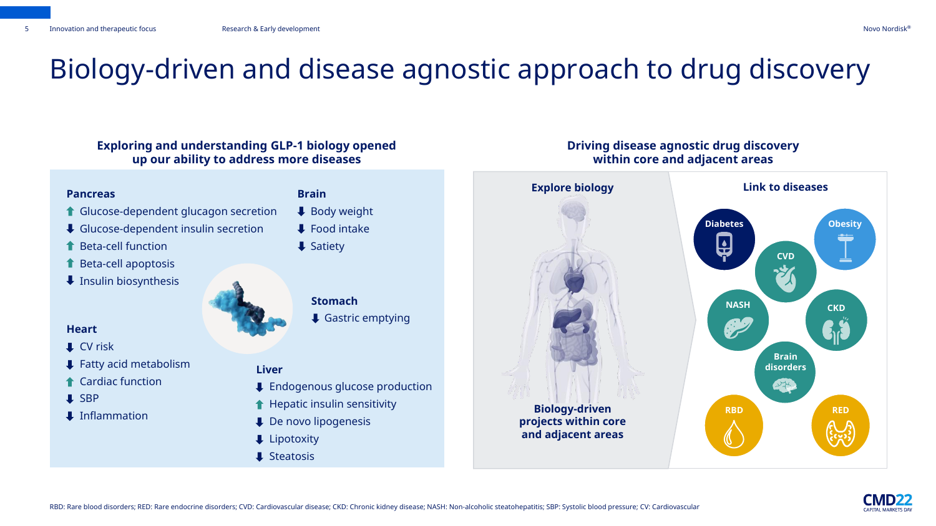### Biology-driven and disease agnostic approach to drug discovery

#### **Exploring and understanding GLP-1 biology opened up our ability to address more diseases**

#### **Pancreas**

- **1 Glucose-dependent glucagon secretion**
- ↓ Glucose-dependent insulin secretion
- Beta-cell function
- Beta-cell apoptosis
- $\overline{\phantom{a}}$  Insulin biosynthesis

#### **Heart**

- $\Box$  CV risk
- Fatty acid metabolism
- Cardiac function
- **I** SBP
- $\Box$  Inflammation

#### **Brain**

- ↓ Body weight
- $\blacktriangleright$  Food intake
- $\overline{\phantom{a}}$  Satiety



#### **Liver**

- **U** Endogenous glucose production
- $\biguparrow$  Hepatic insulin sensitivity
- **U** De novo lipogenesis
- $\downarrow$  Lipotoxity
- $\downarrow$  Steatosis



**and adjacent areas**

#### **Driving disease agnostic drug discovery within core and adjacent areas**



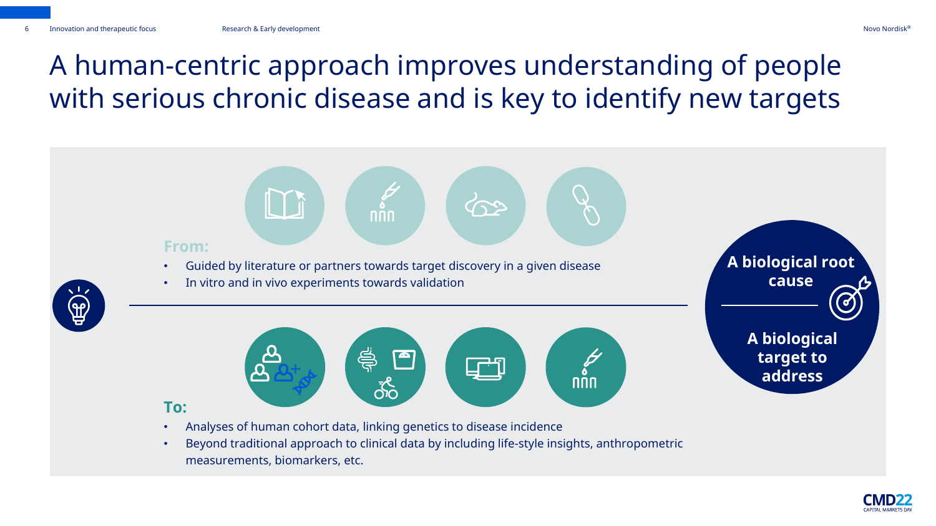### A human-centric approach improves understanding of people with serious chronic disease and is key to identify new targets



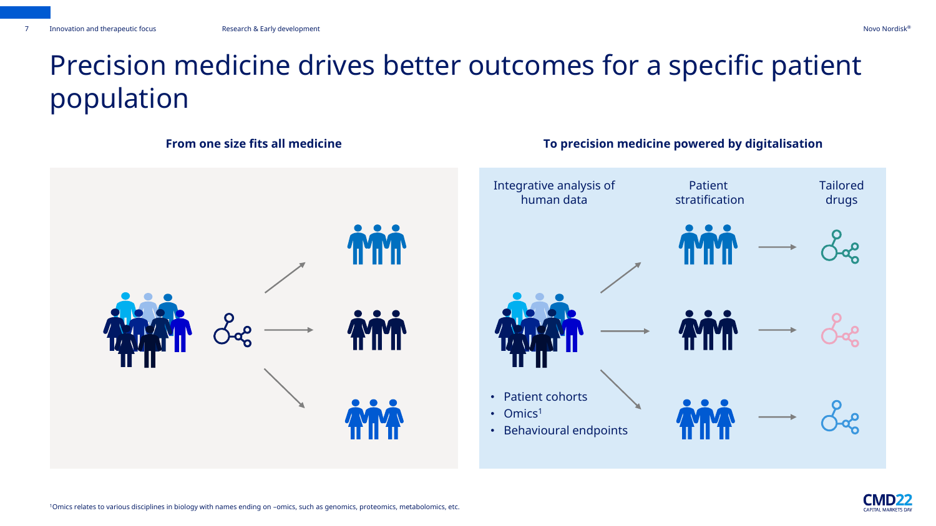### Precision medicine drives better outcomes for a specific patient population



#### **From one size fits all medicine To precision medicine powered by digitalisation**



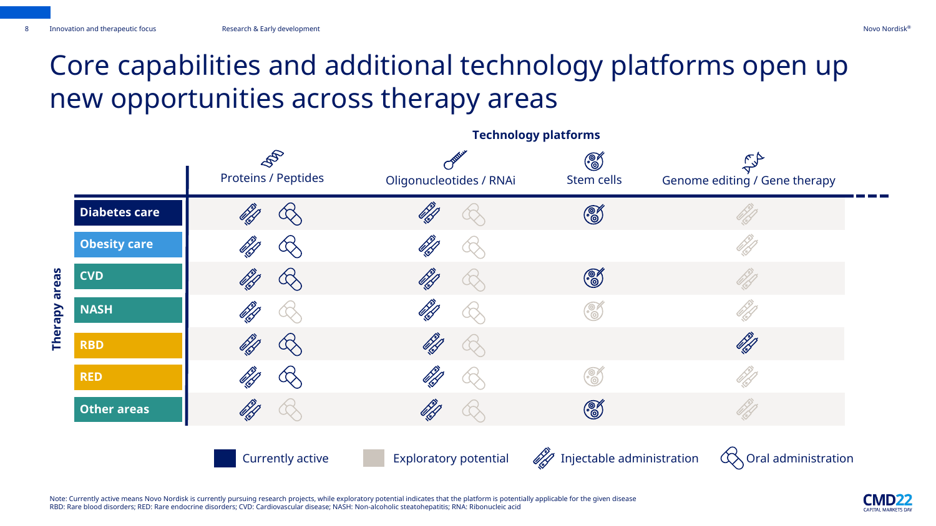### Core capabilities and additional technology platforms open up new opportunities across therapy areas

**Technology platforms**

|                     | $\mathscr{S}$<br><b>Proteins / Peptides</b> | Oligonucleotides / RNAi      | $\begin{matrix} \mathbb{C} \ \mathbb{O} \end{matrix}$<br>Stem cells | Genome editing / Gene therapy |
|---------------------|---------------------------------------------|------------------------------|---------------------------------------------------------------------|-------------------------------|
| Diabetes care       | ÜR                                          |                              | ෯                                                                   |                               |
| <b>Obesity care</b> |                                             |                              |                                                                     |                               |
| <b>CVD</b>          | 66                                          | 67                           | $\circledS$                                                         |                               |
| <b>NASH</b>         | 67                                          |                              | $\widetilde{\mathcal{O}}$                                           |                               |
| <b>RBD</b>          | 0 kg                                        |                              |                                                                     | 67<br>19                      |
| <b>RED</b>          |                                             |                              |                                                                     |                               |
| <b>Other areas</b>  | <b>SA</b>                                   |                              | $\mathcal{C}$                                                       |                               |
|                     | <b>Currently active</b>                     | <b>Exploratory potential</b> | $\mathcal{U}$ Injectable administration                             | Oral administration           |

Note: Currently active means Novo Nordisk is currently pursuing research projects, while exploratory potential indicates that the platform is potentially applicable for the given disease RBD: Rare blood disorders; RED: Rare endocrine disorders; CVD: Cardiovascular disease; NASH: Non-alcoholic steatohepatitis; RNA: Ribonucleic acid

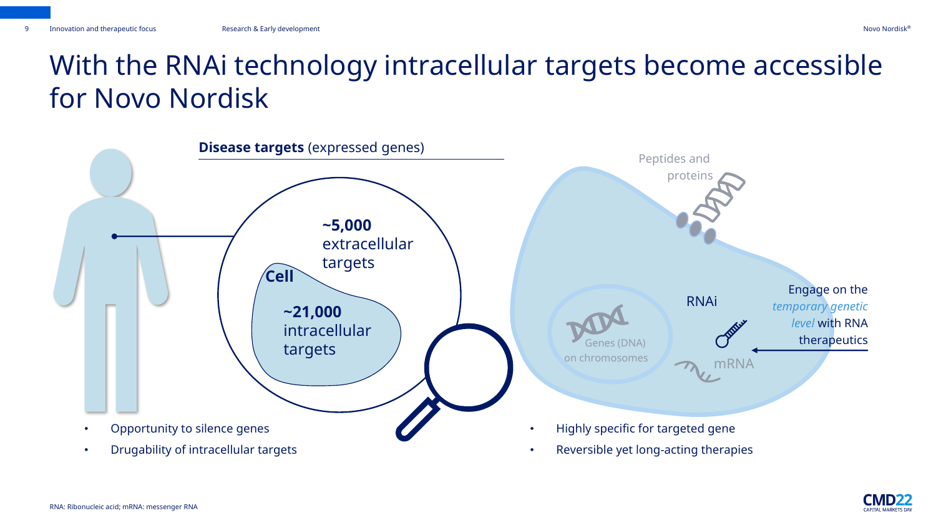### With the RNAi technology intracellular targets become accessible for Novo Nordisk





RNA: Ribonucleic acid; mRNA: messenger RNA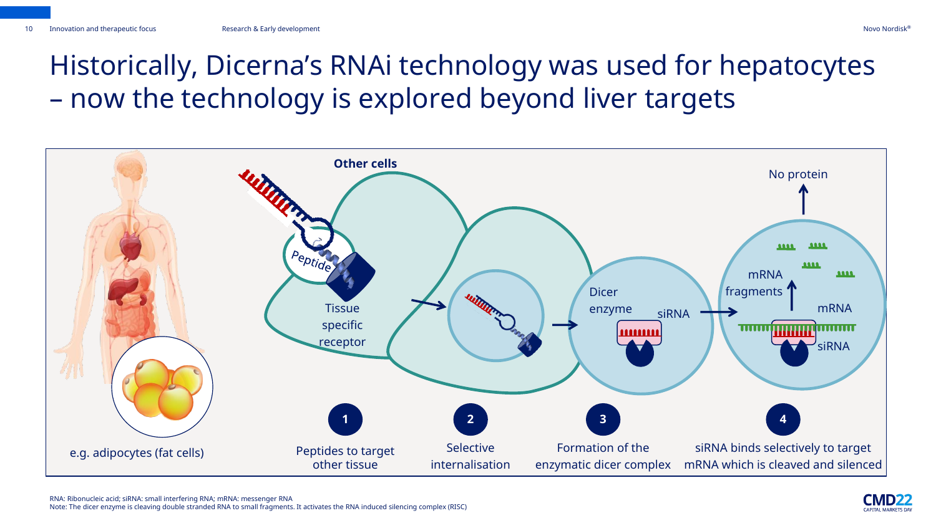### Historically, Dicerna's RNAi technology was used for hepatocytes – now the technology is explored beyond liver targets



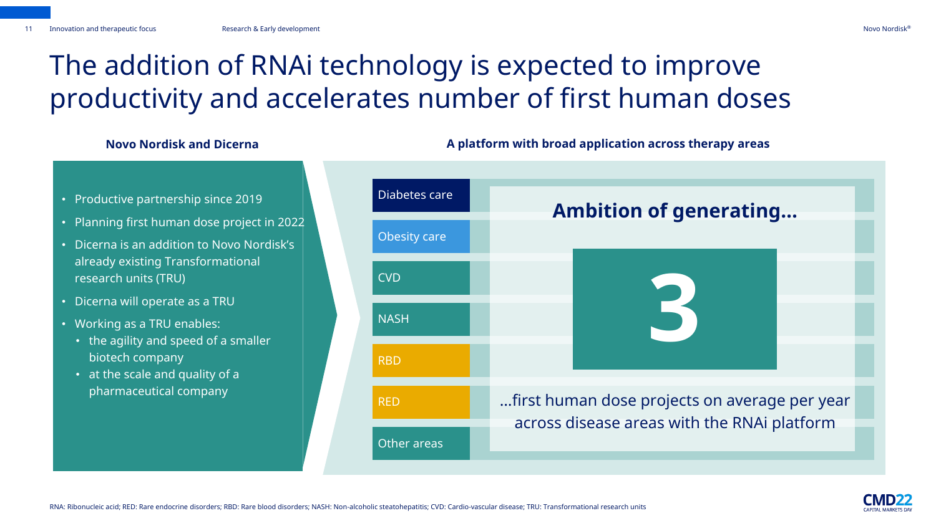#### Novo Nordisk®

### The addition of RNAi technology is expected to improve productivity and accelerates number of first human doses

- Productive partnership since 2019
- Planning first human dose project in 2022
- Dicerna is an addition to Novo Nordisk's already existing Transformational research units (TRU)
- Dicerna will operate as a TRU
- Working as a TRU enables:
	- the agility and speed of a smaller biotech company
	- at the scale and quality of a pharmaceutical company



#### **Novo Nordisk and Dicerna A platform with broad application across therapy areas**

RNA: Ribonucleic acid; RED: Rare endocrine disorders; RBD: Rare blood disorders; NASH: Non-alcoholic steatohepatitis; CVD: Cardio-vascular disease; TRU: Transformational research units

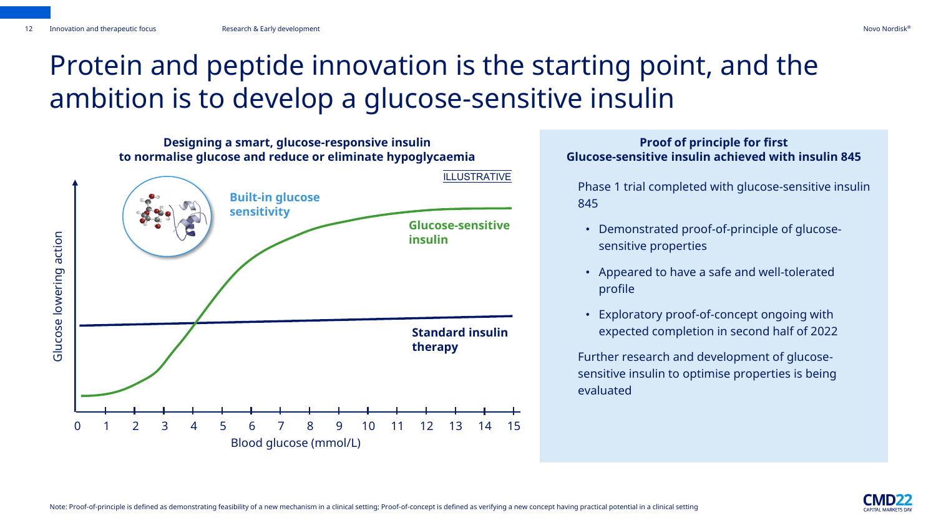### Protein and peptide innovation is the starting point, and the ambition is to develop a glucose-sensitive insulin



#### **Proof of principle for first Glucose-sensitive insulin achieved with insulin 845**

Phase 1 trial completed with glucose-sensitive insulin 845

- Demonstrated proof-of-principle of glucosesensitive properties
- Appeared to have a safe and well-tolerated profile
- Exploratory proof-of-concept ongoing with expected completion in second half of 2022

Further research and development of glucosesensitive insulin to optimise properties is being evaluated

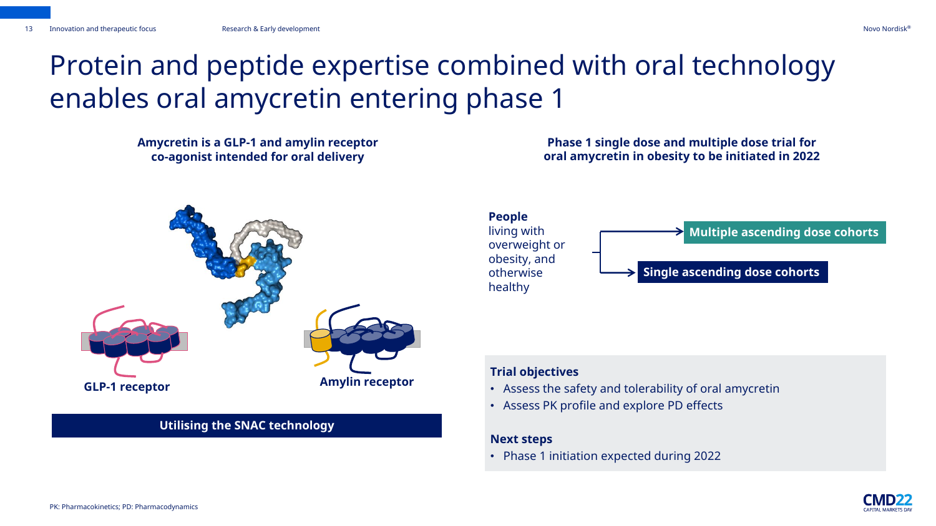### Protein and peptide expertise combined with oral technology enables oral amycretin entering phase 1

**Amycretin is a GLP-1 and amylin receptor co-agonist intended for oral delivery**



#### **Utilising the SNAC technology**

**Phase 1 single dose and multiple dose trial for oral amycretin in obesity to be initiated in 2022**



#### **Trial objectives**

- Assess the safety and tolerability of oral amycretin
- Assess PK profile and explore PD effects

#### **Next steps**

• Phase 1 initiation expected during 2022

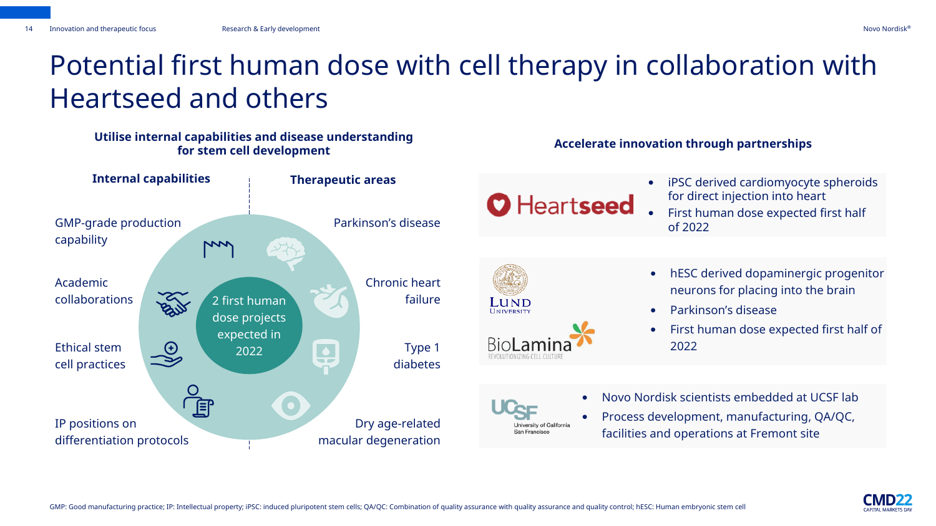### Potential first human dose with cell therapy in collaboration with Heartseed and others

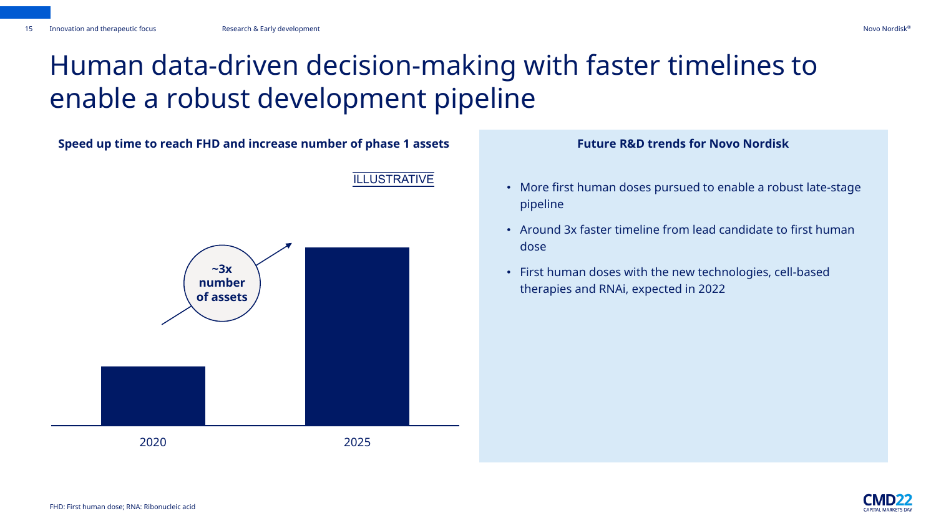### Human data-driven decision-making with faster timelines to enable a robust development pipeline



#### **Future R&D trends for Novo Nordisk**

- More first human doses pursued to enable a robust late-stage pipeline
- Around 3x faster timeline from lead candidate to first human dose
- First human doses with the new technologies, cell-based therapies and RNAi, expected in 2022